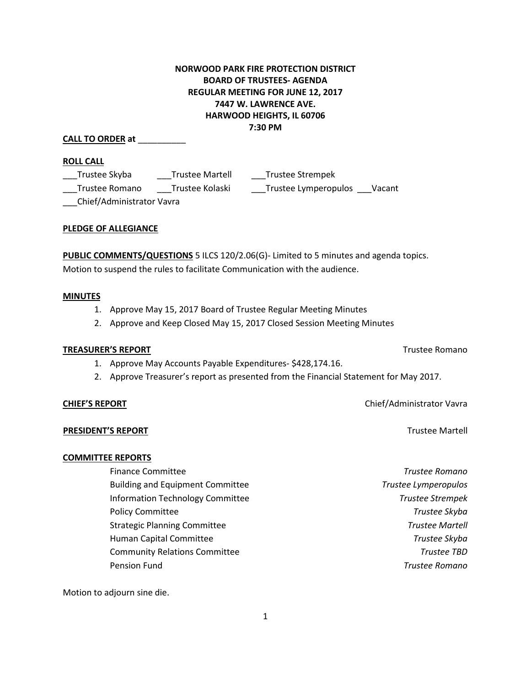# **NORWOOD PARK FIRE PROTECTION DISTRICT BOARD OF TRUSTEES- AGENDA REGULAR MEETING FOR JUNE 12, 2017 7447 W. LAWRENCE AVE. HARWOOD HEIGHTS, IL 60706 7:30 PM**

## **CALL TO ORDER at** \_\_\_\_\_\_\_\_\_\_

#### **ROLL CALL**

| Trustee Skyba             | <b>Trustee Martell</b> | Trustee Strempek     |        |
|---------------------------|------------------------|----------------------|--------|
| Trustee Romano            | Trustee Kolaski        | Trustee Lymperopulos | Vacant |
| Chief/Administrator Vavra |                        |                      |        |

#### **PLEDGE OF ALLEGIANCE**

**PUBLIC COMMENTS/QUESTIONS** 5 ILCS 120/2.06(G)- Limited to 5 minutes and agenda topics. Motion to suspend the rules to facilitate Communication with the audience.

#### **MINUTES**

- 1. Approve May 15, 2017 Board of Trustee Regular Meeting Minutes
- 2. Approve and Keep Closed May 15, 2017 Closed Session Meeting Minutes

#### **TREASURER'S REPORT** TREASURER'S REPORT

- 1. Approve May Accounts Payable Expenditures- \$428,174.16.
- 2. Approve Treasurer's report as presented from the Financial Statement for May 2017.

### **PRESIDENT'S REPORT** Trustee Martell

### **COMMITTEE REPORTS**

Finance Committee *Trustee Romano* Building and Equipment Committee *Trustee Lymperopulos* Information Technology Committee *Trustee Strempek* Policy Committee *Trustee Skyba* Strategic Planning Committee *Trustee Martell* Human Capital Committee *Trustee Skyba* Community Relations Committee *Trustee TBD* Pension Fund *Trustee Romano*

Motion to adjourn sine die.

**CHIEF'S REPORT** CHIEF'S **REPORT**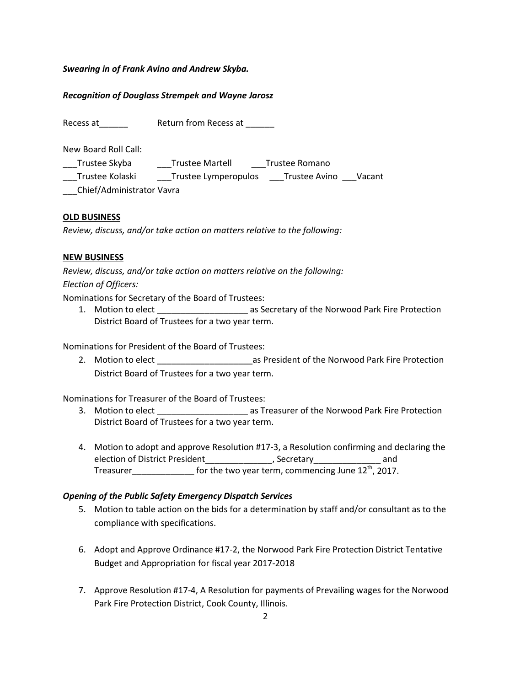*Swearing in of Frank Avino and Andrew Skyba.*

# *Recognition of Douglass Strempek and Wayne Jarosz*

Recess at\_\_\_\_\_\_ Return from Recess at \_\_\_\_\_\_

New Board Roll Call:

\_\_\_Trustee Skyba \_\_\_Trustee Martell \_\_\_Trustee Romano \_\_\_Trustee Kolaski \_\_\_Trustee Lymperopulos \_\_\_Trustee Avino \_\_\_Vacant \_\_\_Chief/Administrator Vavra

### **OLD BUSINESS**

*Review, discuss, and/or take action on matters relative to the following:*

# **NEW BUSINESS**

*Review, discuss, and/or take action on matters relative on the following: Election of Officers:*

Nominations for Secretary of the Board of Trustees:

1. Motion to elect \_\_\_\_\_\_\_\_\_\_\_\_\_\_\_\_\_\_\_ as Secretary of the Norwood Park Fire Protection District Board of Trustees for a two year term.

Nominations for President of the Board of Trustees:

2. Motion to elect **Later Later Later State and Target** as President of the Norwood Park Fire Protection District Board of Trustees for a two year term.

Nominations for Treasurer of the Board of Trustees:

- 3. Motion to elect \_\_\_\_\_\_\_\_\_\_\_\_\_\_\_\_\_\_\_ as Treasurer of the Norwood Park Fire Protection District Board of Trustees for a two year term.
- 4. Motion to adopt and approve Resolution #17-3, a Resolution confirming and declaring the election of District President\_\_\_\_\_\_\_\_\_\_\_\_\_\_, Secretary\_\_\_\_\_\_\_\_\_\_\_\_\_\_\_ and Treasurer\_\_\_\_\_\_\_\_\_\_\_\_\_\_\_ for the two year term, commencing June 12<sup>th</sup>, 2017.

### *Opening of the Public Safety Emergency Dispatch Services*

- 5. Motion to table action on the bids for a determination by staff and/or consultant as to the compliance with specifications.
- 6. Adopt and Approve Ordinance #17-2, the Norwood Park Fire Protection District Tentative Budget and Appropriation for fiscal year 2017-2018
- 7. Approve Resolution #17-4, A Resolution for payments of Prevailing wages for the Norwood Park Fire Protection District, Cook County, Illinois.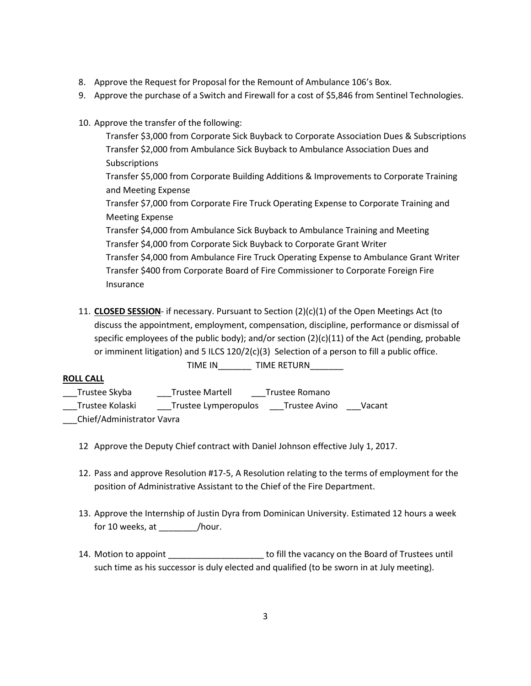- 8. Approve the Request for Proposal for the Remount of Ambulance 106's Box.
- 9. Approve the purchase of a Switch and Firewall for a cost of \$5,846 from Sentinel Technologies.
- 10. Approve the transfer of the following:

Transfer \$3,000 from Corporate Sick Buyback to Corporate Association Dues & Subscriptions Transfer \$2,000 from Ambulance Sick Buyback to Ambulance Association Dues and Subscriptions Transfer \$5,000 from Corporate Building Additions & Improvements to Corporate Training and Meeting Expense Transfer \$7,000 from Corporate Fire Truck Operating Expense to Corporate Training and Meeting Expense

Transfer \$4,000 from Ambulance Sick Buyback to Ambulance Training and Meeting Transfer \$4,000 from Corporate Sick Buyback to Corporate Grant Writer Transfer \$4,000 from Ambulance Fire Truck Operating Expense to Ambulance Grant Writer Transfer \$400 from Corporate Board of Fire Commissioner to Corporate Foreign Fire Insurance

11. **CLOSED SESSION**- if necessary. Pursuant to Section (2)(c)(1) of the Open Meetings Act (to discuss the appointment, employment, compensation, discipline, performance or dismissal of specific employees of the public body); and/or section  $(2)(c)(11)$  of the Act (pending, probable or imminent litigation) and 5 ILCS 120/2(c)(3) Selection of a person to fill a public office.

TIME IN\_\_\_\_\_\_\_ TIME RETURN\_\_\_\_\_\_\_

# **ROLL CALL**

- \_\_\_Trustee Skyba \_\_\_Trustee Martell \_\_\_Trustee Romano \_\_\_Trustee Kolaski \_\_\_\_\_\_Trustee Lymperopulos \_\_\_\_Trustee Avino \_\_\_\_Vacant
- \_\_\_Chief/Administrator Vavra
	- 12 Approve the Deputy Chief contract with Daniel Johnson effective July 1, 2017.
	- 12. Pass and approve Resolution #17-5, A Resolution relating to the terms of employment for the position of Administrative Assistant to the Chief of the Fire Department.
	- 13. Approve the Internship of Justin Dyra from Dominican University. Estimated 12 hours a week for 10 weeks, at \_\_\_\_\_\_\_\_/hour.
	- 14. Motion to appoint \_\_\_\_\_\_\_\_\_\_\_\_\_\_\_\_\_\_\_\_ to fill the vacancy on the Board of Trustees until such time as his successor is duly elected and qualified (to be sworn in at July meeting).